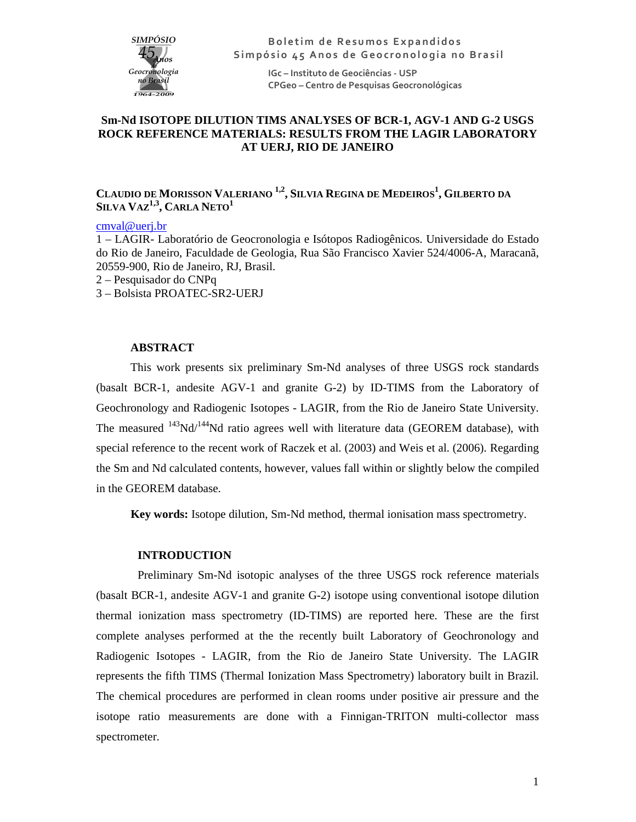

**Boletim de Resumos Expandidos** Simpósio 45 Anos de Geocronologia no Brasil

> **IGc – Instituto de Geociências - USP CPGeo – Centro de Pesquisas Geocronológicas**

## **Sm-Nd ISOTOPE DILUTION TIMS ANALYSES OF BCR-1, AGV-1 AND G-2 USGS ROCK REFERENCE MATERIALS: RESULTS FROM THE LAGIR LABORATORY AT UERJ, RIO DE JANEIRO**

# **CLAUDIO DE MORISSON VALERIANO 1,2 , SILVIA REGINA DE MEDEIROS<sup>1</sup> , GILBERTO DA SILVA VAZ1,3 , CARLA NETO<sup>1</sup>**

### cmval@uerj.br

1 – LAGIR- Laboratório de Geocronologia e Isótopos Radiogênicos. Universidade do Estado do Rio de Janeiro, Faculdade de Geologia, Rua São Francisco Xavier 524/4006-A, Maracanã, 20559-900, Rio de Janeiro, RJ, Brasil.

- 2 Pesquisador do CNPq
- 3 Bolsista PROATEC-SR2-UERJ

## **ABSTRACT**

This work presents six preliminary Sm-Nd analyses of three USGS rock standards (basalt BCR-1, andesite AGV-1 and granite G-2) by ID-TIMS from the Laboratory of Geochronology and Radiogenic Isotopes - LAGIR, from the Rio de Janeiro State University. The measured  $^{143}$ Nd/ $^{144}$ Nd ratio agrees well with literature data (GEOREM database), with special reference to the recent work of Raczek et al. (2003) and Weis et al. (2006). Regarding the Sm and Nd calculated contents, however, values fall within or slightly below the compiled in the GEOREM database.

**Key words:** Isotope dilution, Sm-Nd method, thermal ionisation mass spectrometry.

#### **INTRODUCTION**

Preliminary Sm-Nd isotopic analyses of the three USGS rock reference materials (basalt BCR-1, andesite AGV-1 and granite G-2) isotope using conventional isotope dilution thermal ionization mass spectrometry (ID-TIMS) are reported here. These are the first complete analyses performed at the the recently built Laboratory of Geochronology and Radiogenic Isotopes - LAGIR, from the Rio de Janeiro State University. The LAGIR represents the fifth TIMS (Thermal Ionization Mass Spectrometry) laboratory built in Brazil. The chemical procedures are performed in clean rooms under positive air pressure and the isotope ratio measurements are done with a Finnigan-TRITON multi-collector mass spectrometer.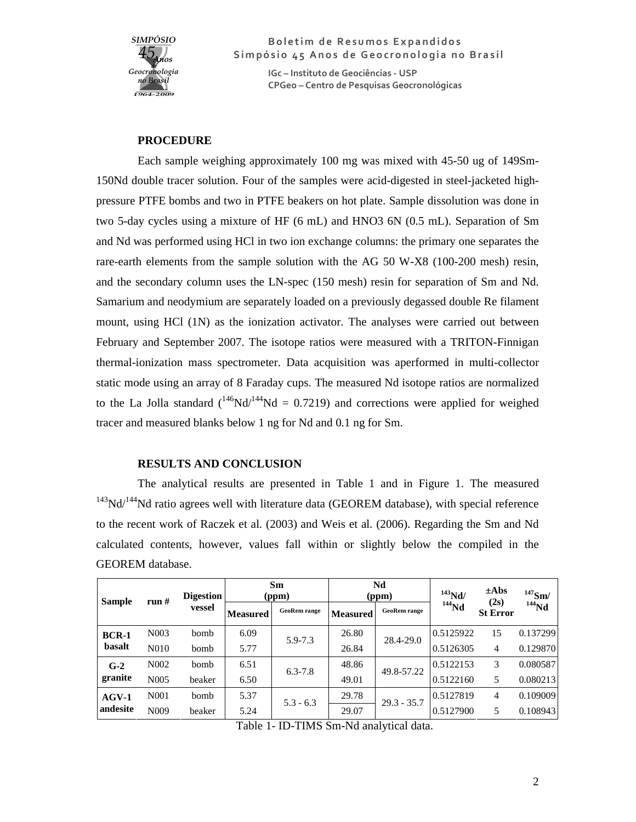

**Boletim de Resumos Expandidos** Simpósio 45 Anos de Geocronologia no Brasil

> **IGc – Instituto de Geociências - USP CPGeo – Centro de Pesquisas Geocronológicas**

#### **PROCEDURE**

Each sample weighing approximately 100 mg was mixed with 45-50 ug of 149Sm-150Nd double tracer solution. Four of the samples were acid-digested in steel-jacketed highpressure PTFE bombs and two in PTFE beakers on hot plate. Sample dissolution was done in two 5-day cycles using a mixture of HF (6 mL) and HNO3 6N (0.5 mL). Separation of Sm and Nd was performed using HCl in two ion exchange columns: the primary one separates the rare-earth elements from the sample solution with the AG 50 W-X8 (100-200 mesh) resin, and the secondary column uses the LN-spec (150 mesh) resin for separation of Sm and Nd. Samarium and neodymium are separately loaded on a previously degassed double Re filament mount, using HCl (1N) as the ionization activator. The analyses were carried out between February and September 2007. The isotope ratios were measured with a TRITON-Finnigan thermal-ionization mass spectrometer. Data acquisition was aperformed in multi-collector static mode using an array of 8 Faraday cups. The measured Nd isotope ratios are normalized to the La Jolla standard  $(^{146}Nd/^{144}Nd = 0.7219)$  and corrections were applied for weighed tracer and measured blanks below 1 ng for Nd and 0.1 ng for Sm.

### **RESULTS AND CONCLUSION**

The analytical results are presented in Table 1 and in Figure 1. The measured  $143$ Nd/ $144$ Nd ratio agrees well with literature data (GEOREM database), with special reference to the recent work of Raczek et al. (2003) and Weis et al. (2006). Regarding the Sm and Nd calculated contents, however, values fall within or slightly below the compiled in the GEOREM database.

| <b>Sample</b>          | run#              | <b>Digestion</b><br>vessel | <b>Sm</b><br>(ppm) |                     | Nd<br>(ppm)     |                     | $143$ Nd/ | $\pm$ Abs<br>(2s) | $147$ Sm/ |
|------------------------|-------------------|----------------------------|--------------------|---------------------|-----------------|---------------------|-----------|-------------------|-----------|
|                        |                   |                            | <b>Measured</b>    | <b>GeoRem</b> range | <b>Measured</b> | <b>GeoRem</b> range | $144$ Nd  | <b>St Error</b>   | $144$ Nd  |
| <b>BCR-1</b><br>basalt | N <sub>0</sub> 03 | bomb                       | 6.09               | 5.9-7.3             | 26.80           | 28.4-29.0           | 0.5125922 | 15                | 0.137299  |
|                        | N <sub>0</sub> 10 | bomb                       | 5.77               |                     | 26.84           |                     | 0.5126305 | 4                 | 0.129870  |
| $G-2$<br>granite       | N <sub>0</sub> 02 | bomb                       | 6.51               | $6.3 - 7.8$         | 48.86           | 49.8-57.22          | 0.5122153 | 3                 | 0.080587  |
|                        | N <sub>0</sub> 05 | beaker                     | 6.50               |                     | 49.01           |                     | 0.5122160 | 5                 | 0.080213  |
| $AGV-1$<br>andesite    | N <sub>001</sub>  | <b>bomb</b>                | 5.37               | $5.3 - 6.3$         | 29.78           | $29.3 - 35.7$       | 0.5127819 | 4                 | 0.109009  |
|                        | N <sub>009</sub>  | beaker                     | 5.24               |                     | 29.07           |                     | 0.5127900 | 5                 | 0.108943  |

Table 1- ID-TIMS Sm-Nd analytical data.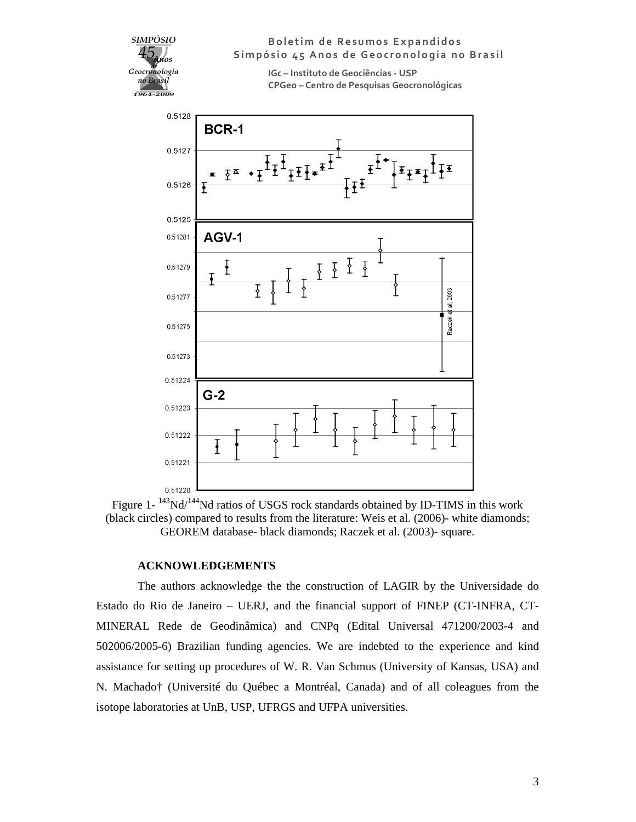



### **ACKNOWLEDGEMENTS**

The authors acknowledge the the construction of LAGIR by the Universidade do Estado do Rio de Janeiro – UERJ, and the financial support of FINEP (CT-INFRA, CT-MINERAL Rede de Geodinâmica) and CNPq (Edital Universal 471200/2003-4 and 502006/2005-6) Brazilian funding agencies. We are indebted to the experience and kind assistance for setting up procedures of W. R. Van Schmus (University of Kansas, USA) and N. Machado† (Université du Québec a Montréal, Canada) and of all coleagues from the isotope laboratories at UnB, USP, UFRGS and UFPA universities.